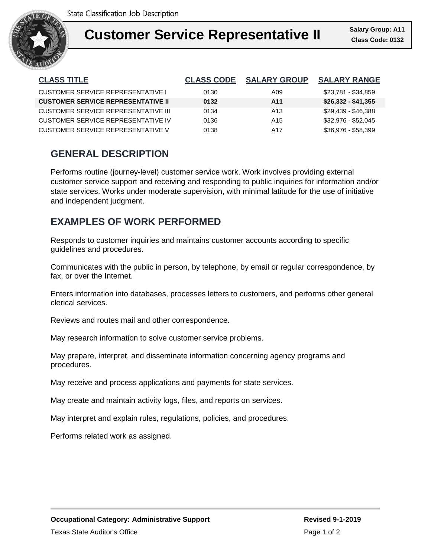

#### **Customer Salary Group** Ι **Customer Service Representative II Class Code: 0132**

| <b>CLASS TITLE</b>                        | <b>CLASS CODE</b> | <b>SALARY GROUP</b> | <b>SALARY RANGE</b> |
|-------------------------------------------|-------------------|---------------------|---------------------|
| CUSTOMER SERVICE REPRESENTATIVE I         | 0130              | A09                 | \$23.781 - \$34.859 |
| <b>CUSTOMER SERVICE REPRESENTATIVE II</b> | 0132              | A11                 | \$26,332 - \$41,355 |
| CUSTOMER SERVICE REPRESENTATIVE III       | 0134              | A13                 | \$29,439 - \$46,388 |
| CUSTOMER SERVICE REPRESENTATIVE IV        | 0136              | A <sub>15</sub>     | \$32,976 - \$52,045 |
| CUSTOMER SERVICE REPRESENTATIVE V         | 0138              | A17                 | \$36.976 - \$58.399 |

# **GENERAL DESCRIPTION**

Performs routine (journey-level) customer service work. Work involves providing external customer service support and receiving and responding to public inquiries for information and/or state services. Works under moderate supervision, with minimal latitude for the use of initiative and independent judgment.

## **EXAMPLES OF WORK PERFORMED**

Responds to customer inquiries and maintains customer accounts according to specific guidelines and procedures.

Communicates with the public in person, by telephone, by email or regular correspondence, by fax, or over the Internet.

Enters information into databases, processes letters to customers, and performs other general clerical services.

Reviews and routes mail and other correspondence.

May research information to solve customer service problems.

May prepare, interpret, and disseminate information concerning agency programs and procedures.

May receive and process applications and payments for state services.

May create and maintain activity logs, files, and reports on services.

May interpret and explain rules, regulations, policies, and procedures.

Performs related work as assigned.